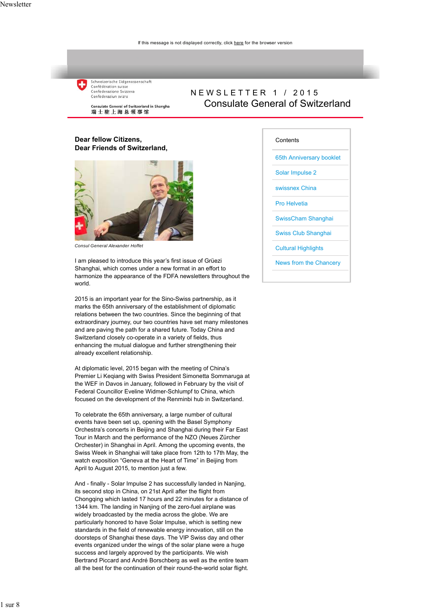

NEWSLETTER 1 / 2015 Consulate General of Switzerland

Consulate General of Switzerland in Shanghai 瑞士驻上海总领事馆

#### **Dear fellow Citizens, Dear Friends of Switzerland,**



*Consul General Alexander Hoffet*

I am pleased to introduce this year's first issue of Grüezi Shanghai, which comes under a new format in an effort to harmonize the appearance of the FDFA newsletters throughout the world.

2015 is an important year for the Sino-Swiss partnership, as it marks the 65th anniversary of the establishment of diplomatic relations between the two countries. Since the beginning of that extraordinary journey, our two countries have set many milestones and are paving the path for a shared future. Today China and Switzerland closely co-operate in a variety of fields, thus enhancing the mutual dialogue and further strengthening their already excellent relationship.

At diplomatic level, 2015 began with the meeting of China's Premier Li Keqiang with Swiss President Simonetta Sommaruga at the WEF in Davos in January, followed in February by the visit of Federal Councillor Eveline Widmer-Schlumpf to China, which focused on the development of the Renminbi hub in Switzerland.

To celebrate the 65th anniversary, a large number of cultural events have been set up, opening with the Basel Symphony Orchestra's concerts in Beijing and Shanghai during their Far East Tour in March and the performance of the NZO (Neues Zürcher Orchester) in Shanghai in April. Among the upcoming events, the Swiss Week in Shanghai will take place from 12th to 17th May, the watch exposition "Geneva at the Heart of Time" in Beijing from April to August 2015, to mention just a few.

And - finally - Solar Impulse 2 has successfully landed in Nanjing, its second stop in China, on 21st April after the flight from Chongqing which lasted 17 hours and 22 minutes for a distance of 1344 km. The landing in Nanjing of the zero-fuel airplane was widely broadcasted by the media across the globe. We are particularly honored to have Solar Impulse, which is setting new standards in the field of renewable energy innovation, still on the doorsteps of Shanghai these days. The VIP Swiss day and other events organized under the wings of the solar plane were a huge success and largely approved by the participants. We wish Bertrand Piccard and André Borschberg as well as the entire team all the best for the continuation of their round-the-world solar flight.

#### **Contents**

65th Anniversary booklet

Solar Impulse 2

swissnex China

Pro Helvetia

SwissCham Shanghai

Swiss Club Shanghai

**Cultural Highlights** 

News from the Chancery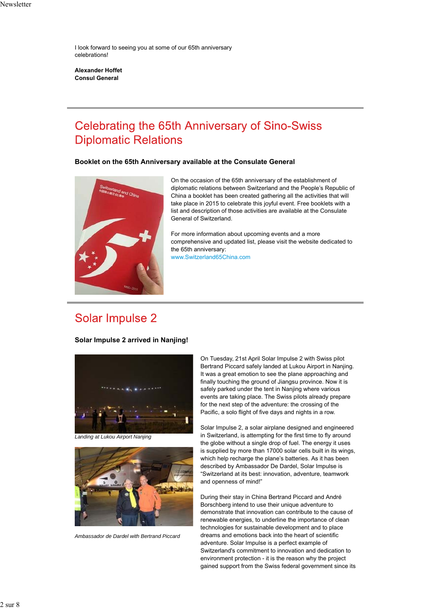I look forward to seeing you at some of our 65th anniversary celebrations!

**Alexander Hoffet Consul General**

## **Celebrating the 65th Anniversary of Sino-Swiss Diplomatic Relations**

### **Booklet on the 65th Anniversary available at the Consulate General**



On the occasion of the 65th anniversary of the establishment of diplomatic relations between Switzerland and the People's Republic of China a booklet has been created gathering all the activities that will take place in 2015 to celebrate this joyful event. Free booklets with a list and description of those activities are available at the Consulate General of Switzerland.

For more information about upcoming events and a more comprehensive and updated list, please visit the website dedicated to the 65th anniversary: www.Switzerland65China.com

## Solar Impulse 2

**Solar Impulse 2 arrived in Nanjing!**



*Landing at Lukou Airport Nanjing*



*Ambassador de Dardel with Bertrand Piccard*

On Tuesday, 21st April Solar Impulse 2 with Swiss pilot Bertrand Piccard safely landed at Lukou Airport in Nanjing. It was a great emotion to see the plane approaching and finally touching the ground of Jiangsu province. Now it is safely parked under the tent in Nanjing where various events are taking place. The Swiss pilots already prepare for the next step of the adventure: the crossing of the Pacific, a solo flight of five days and nights in a row.

Solar Impulse 2, a solar airplane designed and engineered in Switzerland, is attempting for the first time to fly around the globe without a single drop of fuel. The energy it uses is supplied by more than 17000 solar cells built in its wings, which help recharge the plane's batteries. As it has been described by Ambassador De Dardel, Solar Impulse is "Switzerland at its best: innovation, adventure, teamwork and openness of mind!"

During their stay in China Bertrand Piccard and André Borschberg intend to use their unique adventure to demonstrate that innovation can contribute to the cause of renewable energies, to underline the importance of clean technologies for sustainable development and to place dreams and emotions back into the heart of scientific adventure. Solar Impulse is a perfect example of Switzerland's commitment to innovation and dedication to environment protection - it is the reason why the project gained support from the Swiss federal government since its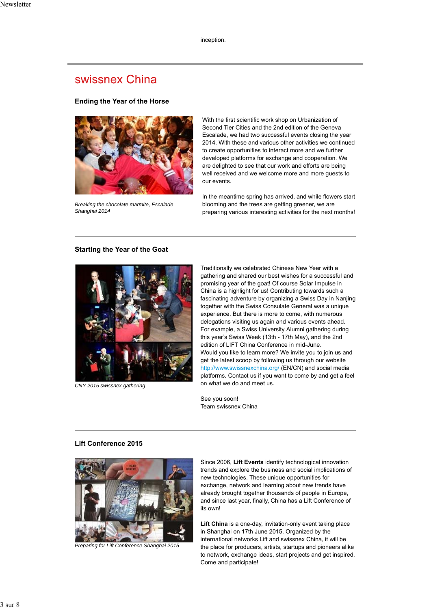inception.

## swissnex China

#### **Ending the Year of the Horse**



*Breaking the chocolate marmite, Escalade Shanghai 2014*

With the first scientific work shop on Urbanization of Second Tier Cities and the 2nd edition of the Geneva Escalade, we had two successful events closing the year 2014. With these and various other activities we continued to create opportunities to interact more and we further developed platforms for exchange and cooperation. We are delighted to see that our work and efforts are being well received and we welcome more and more guests to our events.

In the meantime spring has arrived, and while flowers start blooming and the trees are getting greener, we are preparing various interesting activities for the next months!

#### **Starting the Year of the Goat**



*CNY 2015 swissnex gathering*

Traditionally we celebrated Chinese New Year with a gathering and shared our best wishes for a successful and promising year of the goat! Of course Solar Impulse in China is a highlight for us! Contributing towards such a fascinating adventure by organizing a Swiss Day in Nanjing together with the Swiss Consulate General was a unique experience. But there is more to come, with numerous delegations visiting us again and various events ahead. For example, a Swiss University Alumni gathering during this year's Swiss Week (13th - 17th May), and the 2nd edition of LIFT China Conference in mid-June. Would you like to learn more? We invite you to join us and get the latest scoop by following us through our website http://www.swissnexchina.org/ (EN/CN) and social media platforms. Contact us if you want to come by and get a feel on what we do and meet us.

See you soon! Team swissnex China

#### **Lift Conference 2015**



*Preparing for Lift Conference Shanghai 2015*

Since 2006, **Lift Events** identify technological innovation trends and explore the business and social implications of new technologies. These unique opportunities for exchange, network and learning about new trends have already brought together thousands of people in Europe, and since last year, finally, China has a Lift Conference of its own!

**Lift China** is a one-day, invitation-only event taking place in Shanghai on 17th June 2015. Organized by the international networks Lift and swissnex China, it will be the place for producers, artists, startups and pioneers alike to network, exchange ideas, start projects and get inspired. Come and participate!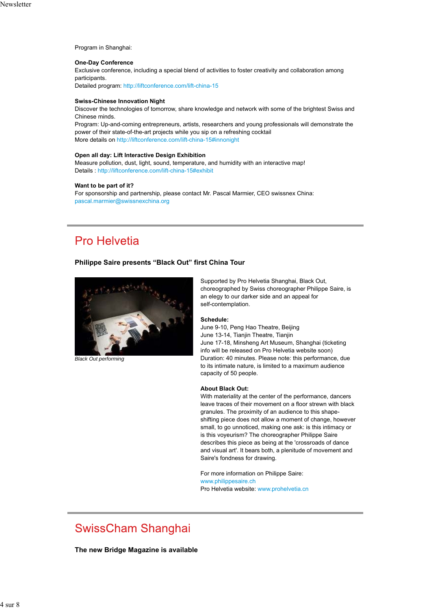Program in Shanghai:

#### **One-Day Conference**

Exclusive conference, including a special blend of activities to foster creativity and collaboration among participants.

Detailed program: http://liftconference.com/lift-china-15

#### **Swiss-Chinese Innovation Night**

Discover the technologies of tomorrow, share knowledge and network with some of the brightest Swiss and Chinese minds.

Program: Up-and-coming entrepreneurs, artists, researchers and young professionals will demonstrate the power of their state-of-the-art projects while you sip on a refreshing cocktail More details on http://liftconference.com/lift-china-15#innonight

### **Open all day: Lift Interactive Design Exhibition**

Measure pollution, dust, light, sound, temperature, and humidity with an interactive map! Details : http://liftconference.com/lift-china-15#exhibit

#### **Want to be part of it?**

For sponsorship and partnership, please contact Mr. Pascal Marmier, CEO swissnex China: pascal.marmier@swissnexchina.org

## **Pro Helvetia**

#### **Philippe Saire presents "Black Out" first China Tour**



*Black Out performing*

Supported by Pro Helvetia Shanghai, Black Out, choreographed by Swiss choreographer Philippe Saire, is an elegy to our darker side and an appeal for self-contemplation.

#### **Schedule:**

June 9-10, Peng Hao Theatre, Beijing June 13-14, Tianjin Theatre, Tianjin June 17-18, Minsheng Art Museum, Shanghai (ticketing info will be released on Pro Helvetia website soon) Duration: 40 minutes. Please note: this performance, due to its intimate nature, is limited to a maximum audience capacity of 50 people.

#### **About Black Out:**

With materiality at the center of the performance, dancers leave traces of their movement on a floor strewn with black granules. The proximity of an audience to this shapeshifting piece does not allow a moment of change, however small, to go unnoticed, making one ask: is this intimacy or is this voyeurism? The choreographer Philippe Saire describes this piece as being at the 'crossroads of dance and visual art'. It bears both, a plenitude of movement and Saire's fondness for drawing.

For more information on Philippe Saire: www.philippesaire.ch Pro Helvetia website: www.prohelvetia.cn

## **SwissCham Shanghai**

**The new Bridge Magazine is available**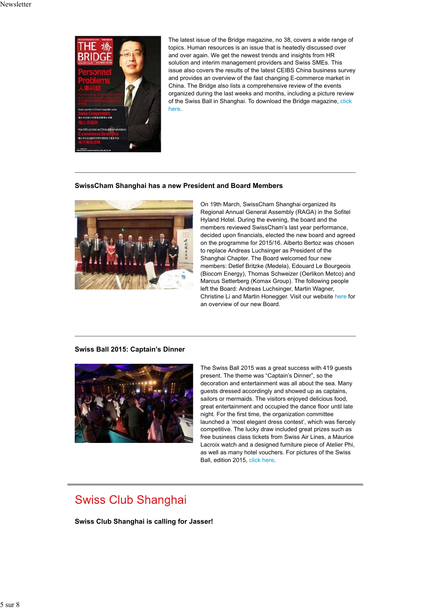

The latest issue of the Bridge magazine, no 38, covers a wide range of topics. Human resources is an issue that is heatedly discussed over and over again. We get the newest trends and insights from HR solution and interim management providers and Swiss SMEs. This issue also covers the results of the latest CEIBS China business survey and provides an overview of the fast changing E-commerce market in China. The Bridge also lists a comprehensive review of the events organized during the last weeks and months, including a picture review of the Swiss Ball in Shanghai. To download the Bridge magazine, click here.

### **SwissCham Shanghai has a new President and Board Members**



On 19th March, SwissCham Shanghai organized its Regional Annual General Assembly (RAGA) in the Sofitel Hyland Hotel. During the evening, the board and the members reviewed SwissCham's last year performance, decided upon financials, elected the new board and agreed on the programme for 2015/16. Alberto Bertoz was chosen to replace Andreas Luchsinger as President of the Shanghai Chapter. The Board welcomed four new members: Detlef Britzke (Medela), Edouard Le Bourgeois (Biocom Energy), Thomas Schweizer (Oerlikon Metco) and Marcus Setterberg (Komax Group). The following people left the Board: Andreas Luchsinger, Martin Wagner, Christine Li and Martin Honegger. Visit our website here for an overview of our new Board.

### **Swiss Ball 2015: Captain's Dinner**



The Swiss Ball 2015 was a great success with 419 guests present. The theme was "Captain's Dinner", so the decoration and entertainment was all about the sea. Many guests dressed accordingly and showed up as captains, sailors or mermaids. The visitors enjoyed delicious food, great entertainment and occupied the dance floor until late night. For the first time, the organization committee launched a 'most elegant dress contest', which was fiercely competitive. The lucky draw included great prizes such as free business class tickets from Swiss Air Lines, a Maurice Lacroix watch and a designed furniture piece of Atelier Phi, as well as many hotel vouchers. For pictures of the Swiss Ball, edition 2015, click here.

## **Swiss Club Shanghai**

**Swiss Club Shanghai is calling for Jasser!**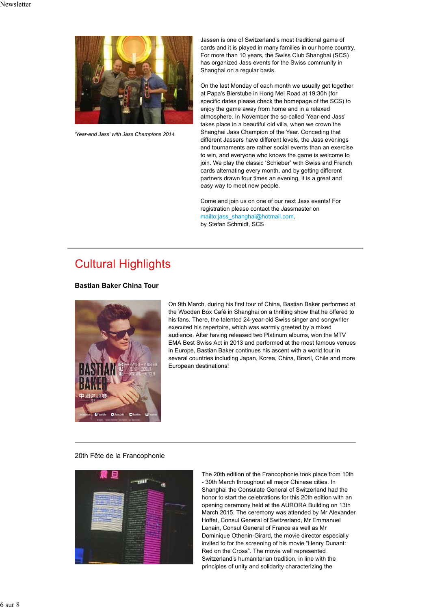

*'Year-end Jass' with Jass Champions 2014*

Jassen is one of Switzerland's most traditional game of cards and it is played in many families in our home country. For more than 10 years, the Swiss Club Shanghai (SCS) has organized Jass events for the Swiss community in Shanghai on a regular basis.

On the last Monday of each month we usually get together at Papa's Bierstube in Hong Mei Road at 19:30h (for specific dates please check the homepage of the SCS) to enjoy the game away from home and in a relaxed atmosphere. In November the so-called 'Year-end Jass' takes place in a beautiful old villa, when we crown the Shanghai Jass Champion of the Year. Conceding that different Jassers have different levels, the Jass evenings and tournaments are rather social events than an exercise to win, and everyone who knows the game is welcome to join. We play the classic 'Schieber' with Swiss and French cards alternating every month, and by getting different partners drawn four times an evening, it is a great and easy way to meet new people.

Come and join us on one of our next Jass events! For registration please contact the Jassmaster on mailto:jass\_shanghai@hotmail.com. by Stefan Schmidt, SCS

## **Cultural Highlights**

### **Bastian Baker China Tour**



On 9th March, during his first tour of China, Bastian Baker performed at the Wooden Box Café in Shanghai on a thrilling show that he offered to his fans. There, the talented 24-year-old Swiss singer and songwriter executed his repertoire, which was warmly greeted by a mixed audience. After having released two Platinum albums, won the MTV EMA Best Swiss Act in 2013 and performed at the most famous venues in Europe, Bastian Baker continues his ascent with a world tour in several countries including Japan, Korea, China, Brazil, Chile and more European destinations!

#### 20th Fête de la Francophonie



The 20th edition of the Francophonie took place from 10th - 30th March throughout all major Chinese cities. In Shanghai the Consulate General of Switzerland had the honor to start the celebrations for this 20th edition with an opening ceremony held at the AURORA Building on 13th March 2015. The ceremony was attended by Mr Alexander Hoffet, Consul General of Switzerland, Mr Emmanuel Lenain, Consul General of France as well as Mr Dominique Othenin-Girard, the movie director especially invited to for the screening of his movie "Henry Dunant: Red on the Cross". The movie well represented Switzerland's humanitarian tradition, in line with the principles of unity and solidarity characterizing the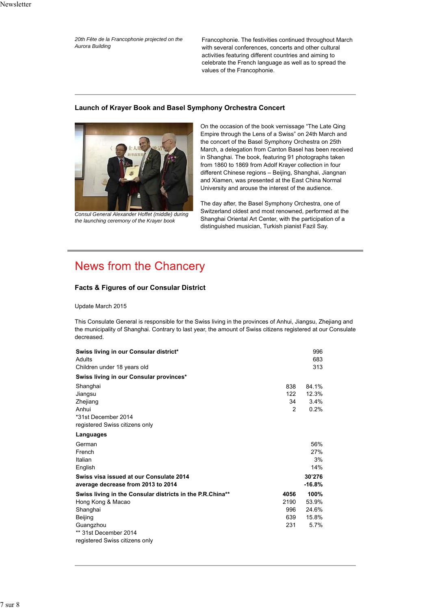*20th Fête de la Francophonie projected on the Aurora Building*

Francophonie. The festivities continued throughout March with several conferences, concerts and other cultural activities featuring different countries and aiming to celebrate the French language as well as to spread the values of the Francophonie.

### **Launch of Krayer Book and Basel Symphony Orchestra Concert**



*Consul General Alexander Hoffet (middle) during the launching ceremony of the Krayer book*

On the occasion of the book vernissage "The Late Qing Empire through the Lens of a Swiss" on 24th March and the concert of the Basel Symphony Orchestra on 25th March, a delegation from Canton Basel has been received in Shanghai. The book, featuring 91 photographs taken from 1860 to 1869 from Adolf Krayer collection in four different Chinese regions – Beijing, Shanghai, Jiangnan and Xiamen, was presented at the East China Normal University and arouse the interest of the audience.

The day after, the Basel Symphony Orchestra, one of Switzerland oldest and most renowned, performed at the Shanghai Oriental Art Center, with the participation of a distinguished musician, Turkish pianist Fazil Say.

# **News from the Chancery**

## **Facts & Figures of our Consular District**

Update March 2015

This Consulate General is responsible for the Swiss living in the provinces of Anhui, Jiangsu, Zhejiang and the municipality of Shanghai. Contrary to last year, the amount of Swiss citizens registered at our Consulate decreased.

| Swiss living in our Consular district*<br>Adults          |               | 996<br>683 |
|-----------------------------------------------------------|---------------|------------|
| Children under 18 years old                               |               | 313        |
| Swiss living in our Consular provinces*                   |               |            |
| Shanghai                                                  | 838           | 84.1%      |
| Jiangsu                                                   | 122           | 12.3%      |
| Zhejiang                                                  | 34            | 3.4%       |
| Anhui                                                     | $\mathcal{P}$ | 0.2%       |
| *31st December 2014                                       |               |            |
| registered Swiss citizens only                            |               |            |
| Languages                                                 |               |            |
| German                                                    |               | 56%        |
| French                                                    |               | 27%        |
| Italian                                                   |               | 3%         |
| English                                                   |               | 14%        |
| Swiss visa issued at our Consulate 2014                   |               | 30'276     |
| average decrease from 2013 to 2014                        |               | -16.8%     |
| Swiss living in the Consular districts in the P.R.China** | 4056          | 100%       |
| Hong Kong & Macao                                         | 2190          | 53.9%      |
| Shanghai                                                  | 996           | 24.6%      |
| Beijing                                                   | 639           | 15.8%      |
| Guangzhou                                                 | 231           | 5.7%       |
| ** 31st December 2014                                     |               |            |
| registered Swiss citizens only                            |               |            |